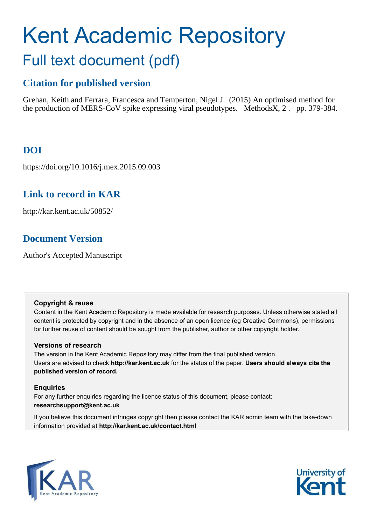# Kent Academic Repository Full text document (pdf)

# **Citation for published version**

Grehan, Keith and Ferrara, Francesca and Temperton, Nigel J. (2015) An optimised method for the production of MERS-CoV spike expressing viral pseudotypes. MethodsX, 2 . pp. 379-384.

# **DOI**

https://doi.org/10.1016/j.mex.2015.09.003

### **Link to record in KAR**

http://kar.kent.ac.uk/50852/

# **Document Version**

Author's Accepted Manuscript

#### **Copyright & reuse**

Content in the Kent Academic Repository is made available for research purposes. Unless otherwise stated all content is protected by copyright and in the absence of an open licence (eg Creative Commons), permissions for further reuse of content should be sought from the publisher, author or other copyright holder.

#### **Versions of research**

The version in the Kent Academic Repository may differ from the final published version. Users are advised to check **http://kar.kent.ac.uk** for the status of the paper. **Users should always cite the published version of record.**

#### **Enquiries**

For any further enquiries regarding the licence status of this document, please contact: **researchsupport@kent.ac.uk**

If you believe this document infringes copyright then please contact the KAR admin team with the take-down information provided at **http://kar.kent.ac.uk/contact.html**



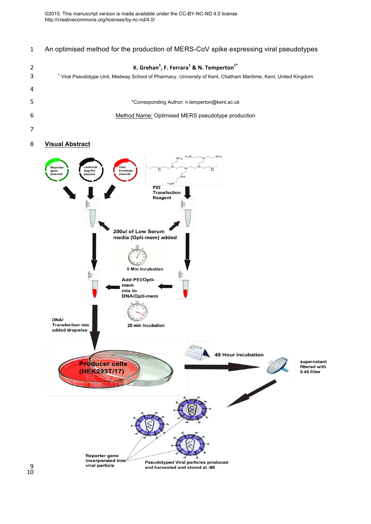An optimised method for the production of MERS-CoV spike expressing viral pseudotypes

| K. Grehan <sup>1</sup> , F. Ferrara <sup>1</sup> & N. Temperton <sup>1*</sup><br><sup>1</sup> Viral Pseudotype Unit, Medway School of Pharmacy, University of Kent, Chatham Maritime, Kent, United Kingdom |
|------------------------------------------------------------------------------------------------------------------------------------------------------------------------------------------------------------|
|                                                                                                                                                                                                            |
| *Corresponding Author: n.temperton@kent.ac.uk                                                                                                                                                              |
| Method Name: Optimised MERS pseudotype production                                                                                                                                                          |
|                                                                                                                                                                                                            |
|                                                                                                                                                                                                            |

#### **Visual Abstract**

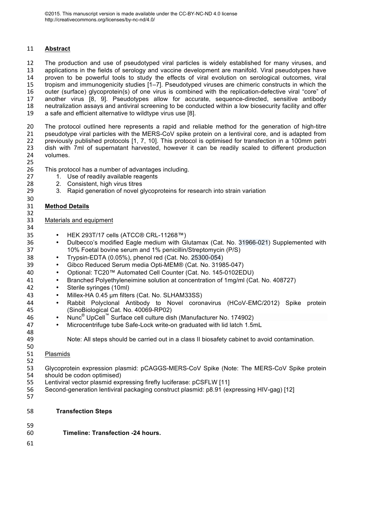#### **Abstract**

 The production and use of pseudotyped viral particles is widely established for many viruses, and applications in the fields of serology and vaccine development are manifold. Viral pseudotypes have proven to be powerful tools to study the effects of viral evolution on serological outcomes, viral 15 tropism and immunogenicity studies [1–7]. Pseudotyped viruses are chimeric constructs in which the<br>16 outer (surface) glycoprotein(s) of one virus is combined with the replication-defective viral "core" of 16 outer (surface) glycoprotein(s) of one virus is combined with the replication-defective viral "core" of 17 another virus [8, 9]. Pseudotypes allow for accurate, sequence-directed, sensitive antibody another virus [8, 9]. Pseudotypes allow for accurate, sequence-directed, sensitive antibody neutralization assays and antiviral screening to be conducted within a low biosecurity facility and offer a safe and efficient alternative to wildtype virus use [8].

20 The protocol outlined here represents a rapid and reliable method for the generation of high-titre<br>21 asseudotype viral particles with the MERS-CoV spike protein on a lentiviral core, and is adapted from pseudotype viral particles with the MERS-CoV spike protein on a lentiviral core, and is adapted from previously published protocols [1, 7, 10]. This protocol is optimised for transfection in a 100mm petri dish with 7ml of supernatant harvested, however it can be readily scaled to different production volumes.

34<br>35

26 This protocol has a number of advantages including.<br>27 1 Use of readily available reagents

- 1. Use of readily available reagents
- 2. Consistent, high virus titres
- 3. Rapid generation of novel glycoproteins for research into strain variation

#### **Method Details**

#### Materials and equipment

- HEK 293T/17 cells (ATCC® CRL-11268™)
- <sup>36</sup> Dulbecco's modified Eagle medium with Glutamax (Cat. No. 31966-021) Supplemented with 10% Foetal bovine serum and 1% penicillin/Streptomycin (P/S)
- ¥ Trypsin-EDTA (0.05%), phenol red (Cat. No. 25300-054)
- ¥ Gibco Reduced Serum media Opti-MEM® (Cat. No. 31985-047)
- ¥ Optional: TC20™ Automated Cell Counter (Cat. No. 145-0102EDU)
- ¥ Branched Polyethyleneimine solution at concentration of 1mg/ml (Cat. No. 408727)
- 42 Sterile syringes (10ml)
- 43 Millex-HA 0.45 µm filters (Cat. No. SLHAM33SS)
- 44 Rabbit Polyclonal Antibody to Novel coronavirus (HCoV-EMC/2012) Spike protein (SinoBiological Cat. No. 40069-RP02)
- 46 Nunc<sup>®</sup> UpCell™ Surface cell culture dish (Manufacturer No. 174902)
- 47 Microcentrifuge tube Safe-Lock write-on graduated with lid latch 1.5mL
- Note: All steps should be carried out in a class II biosafety cabinet to avoid contamination.
- Plasmids
- Glycoprotein expression plasmid: pCAGGS-MERS-CoV Spike (Note: The MERS-CoV Spike protein
- should be codon optimised)
- Lentiviral vector plasmid expressing firefly luciferase: pCSFLW [11]
- Second-generation lentiviral packaging construct plasmid: p8.91 (expressing HIV-gag) [12]
- 

#### **Transfection Steps**

- **Timeline: Transfection -24 hours.**
-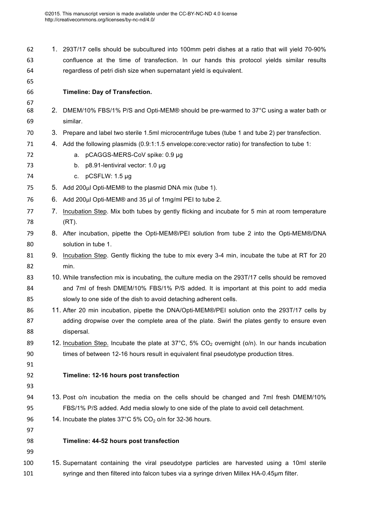- 1. 293T/17 cells should be subcultured into 100mm petri dishes at a ratio that will yield 70-90% confluence at the time of transfection. In our hands this protocol yields similar results regardless of petri dish size when supernatant yield is equivalent.
- **Timeline: Day of Transfection.**  2. DMEM/10% FBS/1% P/S and Opti-MEM® should be pre-warmed to 37°C using a water bath or similar. 3. Prepare and label two sterile 1.5ml microcentrifuge tubes (tube 1 and tube 2) per transfection. 4. Add the following plasmids (0.9:1:1.5 envelope:core:vector ratio) for transfection to tube 1: a. pCAGGS-MERS-CoV spike: 0.9 µg 73 b. p8.91-lentiviral vector: 1.0 µg c. pCSFLW: 1.5 µg 5. Add 200μl Opti-MEM® to the plasmid DNA mix (tube 1). 6. Add 200μl Opti-MEM® and 35 µl of 1mg/ml PEI to tube 2. 7. Incubation Step. Mix both tubes by gently flicking and incubate for 5 min at room temperature (RT). 8. After incubation, pipette the Opti-MEM®/PEI solution from tube 2 into the Opti-MEM®/DNA solution in tube 1. 81 9. Incubation Step. Gently flicking the tube to mix every 3-4 min, incubate the tube at RT for 20 min. 10. While transfection mix is incubating, the culture media on the 293T/17 cells should be removed and 7ml of fresh DMEM/10% FBS/1% P/S added. It is important at this point to add media slowly to one side of the dish to avoid detaching adherent cells. 11. After 20 min incubation, pipette the DNA/Opti-MEM®/PEI solution onto the 293T/17 cells by 87 adding dropwise over the complete area of the plate. Swirl the plates gently to ensure even dispersal. 89 12. Incubation Step. Incubate the plate at  $37^{\circ}$ C,  $5\%$  CO<sub>2</sub> overnight (o/n). In our hands incubation times of between 12-16 hours result in equivalent final pseudotype production titres. **Timeline: 12-16 hours post transfection** 13. Post o/n incubation the media on the cells should be changed and 7ml fresh DMEM/10% FBS/1% P/S added. Add media slowly to one side of the plate to avoid cell detachment. 96 14. Incubate the plates  $37^{\circ}$ C 5% CO<sub>2</sub> o/n for 32-36 hours. **Timeline: 44-52 hours post transfection** 15. Supernatant containing the viral pseudotype particles are harvested using a 10ml sterile 101 syringe and then filtered into falcon tubes via a syringe driven Millex HA-0.45µm filter.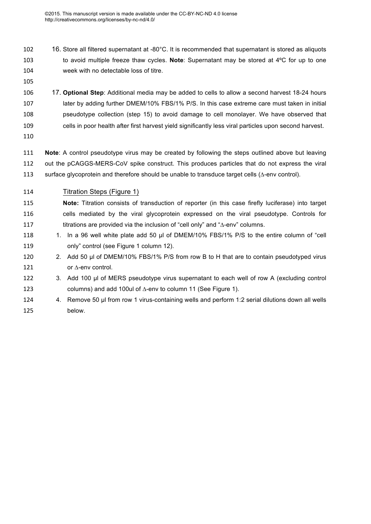- 102 16. Store all filtered supernatant at -80°C. It is recommended that supernatant is stored as aliquots to avoid multiple freeze thaw cycles. **Note**: Supernatant may be stored at 4ºC for up to one week with no detectable loss of titre.
- 

 17. **Optional Step**: Additional media may be added to cells to allow a second harvest 18-24 hours later by adding further DMEM/10% FBS/1% P/S. In this case extreme care must taken in initial pseudotype collection (step 15) to avoid damage to cell monolayer. We have observed that cells in poor health after first harvest yield significantly less viral particles upon second harvest.

 **Note**: A control pseudotype virus may be created by following the steps outlined above but leaving out the pCAGGS-MERS-CoV spike construct. This produces particles that do not express the viral surface glycoprotein and therefore should be unable to transduce target cells (∆-env control).

- Titration Steps (Figure 1)
- **Note:** Titration consists of transduction of reporter (in this case firefly luciferase) into target cells mediated by the viral glycoprotein expressed on the viral pseudotype. Controls for titrations are provided via the inclusion of "cell only" and "∆-env" columns.
- 118 1. In a 96 well white plate add 50 µl of DMEM/10% FBS/1% P/S to the entire column of "cell 119 only" control (see Figure 1 column 12).
- 2. Add 50 µl of DMEM/10% FBS/1% P/S from row B to H that are to contain pseudotyped virus 121 or ∆-env control.
- 3. Add 100 µl of MERS pseudotype virus supernatant to each well of row A (excluding control columns) and add 100ul of ∆-env to column 11 (See Figure 1).
- 124 4. Remove 50 µl from row 1 virus-containing wells and perform 1:2 serial dilutions down all wells below.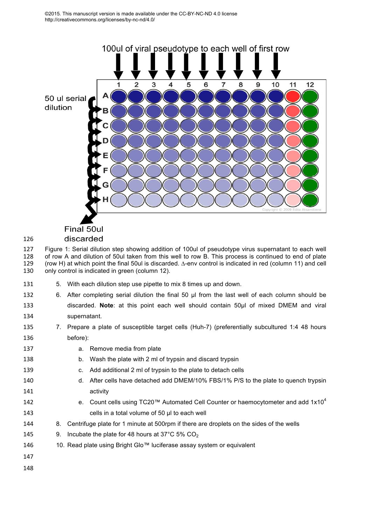

# Final 50ul

#### discarded

 Figure 1: Serial dilution step showing addition of 100ul of pseudotype virus supernatant to each well of row A and dilution of 50ul taken from this well to row B. This process is continued to end of plate (row H) at which point the final 50ul is discarded. ∆-env control is indicated in red (column 11) and cell 130 only control is indicated in green (column 12).

- 5. With each dilution step use pipette to mix 8 times up and down.
- 6. After completing serial dilution the final 50 µl from the last well of each column should be
- discarded. **Note**: at this point each well should contain 50µl of mixed DMEM and viral supernatant.
- 7. Prepare a plate of susceptible target cells (Huh-7) (preferentially subcultured 1:4 48 hours before):
- a. Remove media from plate
- b. Wash the plate with 2 ml of trypsin and discard trypsin
- c. Add additional 2 ml of trypsin to the plate to detach cells
- d. After cells have detached add DMEM/10% FBS/1% P/S to the plate to quench trypsin activity
- e. Count cells using TC20™ Automated Cell Counter or haemocytometer and add  $1x10<sup>4</sup>$  cells in a total volume of 50 µl to each well
- 8. Centrifuge plate for 1 minute at 500rpm if there are droplets on the sides of the wells
- 145 9. Incubate the plate for 48 hours at  $37^{\circ}$ C 5% CO<sub>2</sub>
- 146 10. Read plate using Bright Glo™ luciferase assay system or equivalent
- 
-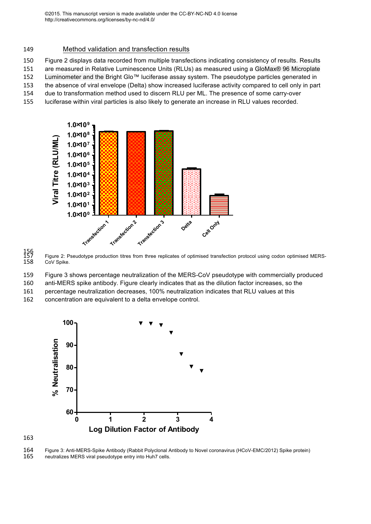#### 149 Method validation and transfection results

150 Figure 2 displays data recorded from multiple transfections indicating consistency of results. Results

151 are measured in Relative Luminescence Units (RLUs) as measured using a GloMax® 96 Microplate

152 Luminometer and the Bright Glo™ luciferase assay system. The pseudotype particles generated in 153 the absence of viral envelope (Delta) show increased luciferase activity compared to cell only in part

154 due to transformation method used to discern RLU per ML. The presence of some carry-over

155 luciferase within viral particles is also likely to generate an increase in RLU values recorded.



156<br>157<br>158 Figure 2: Pseudotype production titres from three replicates of optimised transfection protocol using codon optimised MERS-CoV Spike.

159 Figure 3 shows percentage neutralization of the MERS-CoV pseudotype with commercially produced

160 anti-MERS spike antibody. Figure clearly indicates that as the dilution factor increases, so the

161 percentage neutralization decreases, 100% neutralization indicates that RLU values at this

162 concentration are equivalent to a delta envelope control.



163

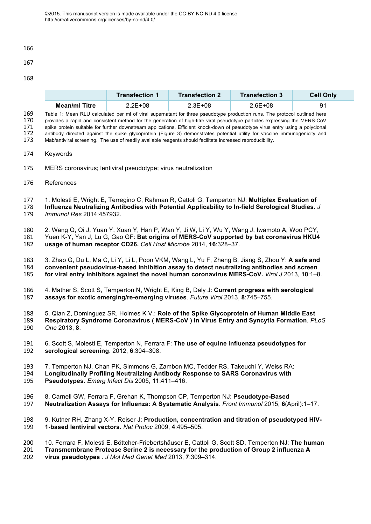

#### 

#### 

|                      | Transfection 1 | Transfection 2 | <b>Transfection 3</b> | <b>Cell Only</b> |
|----------------------|----------------|----------------|-----------------------|------------------|
| <b>Mean/ml Titre</b> | 2.2E+08        | 2.3E+08        | $2.6E + 08$           | 91               |

Table 1: Mean RLU calculated per ml of viral supernatant for three pseudotype production runs. The protocol outlined here<br>170 provides a rapid and consistent method for the generation of high-titre viral pseudotype particl 170 provides a rapid and consistent method for the generation of high-titre viral pseudotype particles expressing the MERS-CoV<br>171 spike protein suitable for further downstream applications. Efficient knock-down of pseudot 171 spike protein suitable for further downstream applications. Efficient knock-down of pseudotype virus entry using a polyclonal 172 antibody directed against the spike glycoprotein (Figure 3) demonstrates potential utili 172 antibody directed against the spike glycoprotein (Figure 3) demonstrates potential utility for vaccine immunogenicity and<br>173 Mab/antiviral screening. The use of readily available reagents should facilitate increased r Mab/antiviral screening. The use of readily available reagents should facilitate increased reproducibility.

- Keywords
- MERS coronavirus; lentiviral pseudotype; virus neutralization
- References

1. Molesti E, Wright E, Terregino C, Rahman R, Cattoli G, Temperton NJ: **Multiplex Evaluation of** 

 **Influenza Neutralizing Antibodies with Potential Applicability to In-field Serological Studies.** *J Immunol Res* 2014:457932.

 2. Wang Q, Qi J, Yuan Y, Xuan Y, Han P, Wan Y, Ji W, Li Y, Wu Y, Wang J, Iwamoto A, Woo PCY, Yuen K-Y, Yan J, Lu G, Gao GF: **Bat origins of MERS-CoV supported by bat coronavirus HKU4 usage of human receptor CD26.** *Cell Host Microbe* 2014, **16**:328–37.

 3. Zhao G, Du L, Ma C, Li Y, Li L, Poon VKM, Wang L, Yu F, Zheng B, Jiang S, Zhou Y: **A safe and convenient pseudovirus-based inhibition assay to detect neutralizing antibodies and screen for viral entry inhibitors against the novel human coronavirus MERS-CoV.** *Virol J* 2013, **10**:1–8.

 4. Mather S, Scott S, Temperton N, Wright E, King B, Daly J: **Current progress with serological assays for exotic emerging/re-emerging viruses**. *Future Virol* 2013, **8**:745–755.

188 5. Qian Z, Dominguez SR, Holmes K V.: **Role of the Spike Glycoprotein of Human Middle East** 189 **Respiratory Syndrome Coronavirus (MERS-CoV)** in Virus Entry and Syncytia Formation. PL **Respiratory Syndrome Coronavirus ( MERS-CoV ) in Virus Entry and Syncytia Formation**. *PLoS One* 2013, **8**.

- 6. Scott S, Molesti E, Temperton N, Ferrara F: **The use of equine influenza pseudotypes for serological screening**. 2012, **6**:304–308.
- 7. Temperton NJ, Chan PK, Simmons G, Zambon MC, Tedder RS, Takeuchi Y, Weiss RA:
- **Longitudinally Profiling Neutralizing Antibody Response to SARS Coronavirus with Pseudotypes**. *Emerg Infect Dis* 2005, **11**:411–416.
- 8. Carnell GW, Ferrara F, Grehan K, Thompson CP, Temperton NJ: **Pseudotype-Based Neutralization Assays for Influenza: A Systematic Analysis**. *Front Immunol* 2015, **6**(April):1–17.
- 9. Kutner RH, Zhang X-Y, Reiser J: **Production, concentration and titration of pseudotyped HIV-1-based lentiviral vectors.** *Nat Protoc* 2009, **4**:495–505.
- 10. Ferrara F, Molesti E, Böttcher-Friebertshäuser E, Cattoli G, Scott SD, Temperton NJ: **The human**
- **Transmembrane Protease Serine 2 is necessary for the production of Group 2 influenza A virus pseudotypes** . *J Mol Med Genet Med* 2013, **7**:309–314.